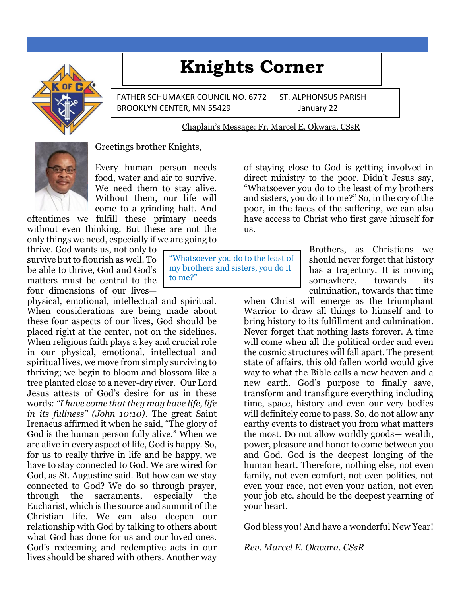# **Knights Corner**



FATHER SCHUMAKER COUNCIL NO. 6772 ST. ALPHONSUS PARISH BROOKLYN CENTER, MN 55429 January 22

#### Chaplain's Message: Fr. Marcel E. Okwara, CSsR



Greetings brother Knights,

Every human person needs food, water and air to survive. We need them to stay alive. Without them, our life will come to a grinding halt. And

oftentimes we fulfill these primary needs without even thinking. But these are not the only things we need, especially if we are going to

thrive. God wants us, not only to survive but to flourish as well. To be able to thrive, God and God's matters must be central to the four dimensions of our lives—

physical, emotional, intellectual and spiritual. When considerations are being made about these four aspects of our lives, God should be placed right at the center, not on the sidelines. When religious faith plays a key and crucial role in our physical, emotional, intellectual and spiritual lives, we move from simply surviving to thriving; we begin to bloom and blossom like a tree planted close to a never-dry river. Our Lord Jesus attests of God's desire for us in these words: *"I have come that they may have life, life in its fullness" (John 10:10)*. The great Saint Irenaeus affirmed it when he said, "The glory of God is the human person fully alive." When we are alive in every aspect of life, God is happy. So, for us to really thrive in life and be happy, we have to stay connected to God. We are wired for God, as St. Augustine said. But how can we stay connected to God? We do so through prayer, through the sacraments, especially the Eucharist, which is the source and summit of the Christian life. We can also deepen our relationship with God by talking to others about what God has done for us and our loved ones. God's redeeming and redemptive acts in our lives should be shared with others. Another way

"Whatsoever you do to the least of my brothers and sisters, you do it to me?"

of staying close to God is getting involved in direct ministry to the poor. Didn't Jesus say, "Whatsoever you do to the least of my brothers and sisters, you do it to me?" So, in the cry of the poor, in the faces of the suffering, we can also have access to Christ who first gave himself for us.

> Brothers, as Christians we should never forget that history has a trajectory. It is moving somewhere, towards its culmination, towards that time

when Christ will emerge as the triumphant Warrior to draw all things to himself and to bring history to its fulfillment and culmination. Never forget that nothing lasts forever. A time will come when all the political order and even the cosmic structures will fall apart. The present state of affairs, this old fallen world would give way to what the Bible calls a new heaven and a new earth. God's purpose to finally save, transform and transfigure everything including time, space, history and even our very bodies will definitely come to pass. So, do not allow any earthy events to distract you from what matters the most. Do not allow worldly goods— wealth, power, pleasure and honor to come between you and God. God is the deepest longing of the human heart. Therefore, nothing else, not even family, not even comfort, not even politics, not even your race, not even your nation, not even your job etc. should be the deepest yearning of your heart.

God bless you! And have a wonderful New Year!

*Rev. Marcel E. Okwara, CSsR*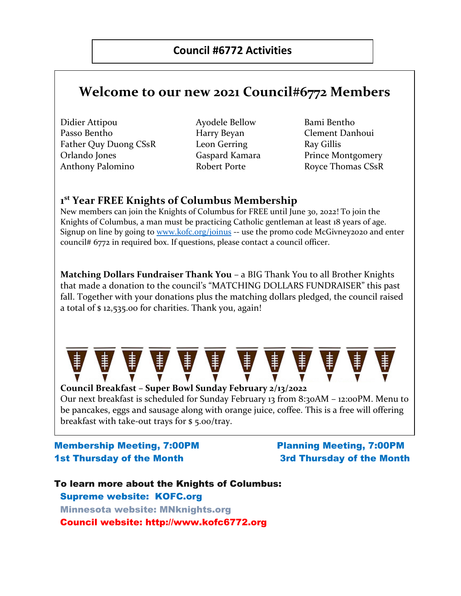## **Welcome to our new 2021 Council#6772 Members**

- Didier Attipou Ayodele Bellow Bami Bentho Passo Bentho **Harry Beyan** Clement Danhoui Father Quy Duong CSsR Leon Gerring Ray Gillis Orlando Jones Gaspard Kamara Prince Montgomery Anthony Palomino **Robert Porte** Royce Thomas CSsR
- 
- 

#### **1 st Year FREE Knights of Columbus Membership**

New members can join the Knights of Columbus for FREE until June 30, 2022! To join the Knights of Columbus, a man must be practicing Catholic gentleman at least 18 years of age. Signup on line by going to [www.kofc.org/joinus](http://www.kofc.org/joinus) -- use the promo code McGivney2020 and enter council# 6772 in required box. If questions, please contact a council officer.

**Matching Dollars Fundraiser Thank You** – a BIG Thank You to all Brother Knights that made a donation to the council's "MATCHING DOLLARS FUNDRAISER" this past fall. Together with your donations plus the matching dollars pledged, the council raised a total of \$ 12,535.00 for charities. Thank you, again!



**Council Breakfast – Super Bowl Sunday February 2/13/2022** Our next breakfast is scheduled for Sunday February 13 from 8:30AM – 12:00PM. Menu to be pancakes, eggs and sausage along with orange juice, coffee. This is a free will offering breakfast with take-out trays for \$ 5.00/tray.

#### Membership Meeting, 7:00PM Planning Meeting, 7:00PM 1st Thursday of the Month 3rd Thursday of the Month

To learn more about the Knights of Columbus: Supreme website: KOFC.org Minnesota website: MNknights.org Council website: http://www.kofc6772.org